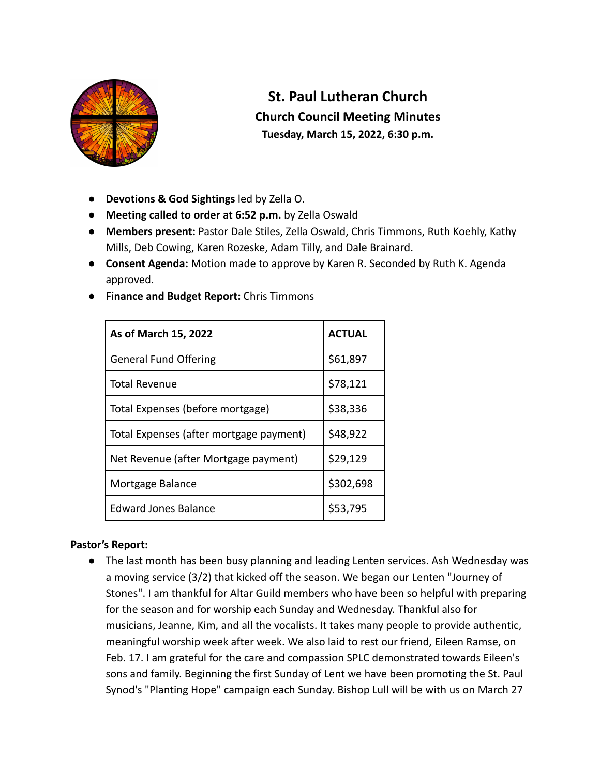

# **St. Paul Lutheran Church Church Council Meeting Minutes Tuesday, March 15, 2022, 6:30 p.m.**

- **Devotions & God Sightings** led by Zella O.
- **Meeting called to order at 6:52 p.m.** by Zella Oswald
- **Members present:** Pastor Dale Stiles, Zella Oswald, Chris Timmons, Ruth Koehly, Kathy Mills, Deb Cowing, Karen Rozeske, Adam Tilly, and Dale Brainard.
- **Consent Agenda:** Motion made to approve by Karen R. Seconded by Ruth K. Agenda approved.
- **Finance and Budget Report:** Chris Timmons

| As of March 15, 2022                    | <b>ACTUAL</b> |
|-----------------------------------------|---------------|
| <b>General Fund Offering</b>            | \$61,897      |
| <b>Total Revenue</b>                    | \$78,121      |
| Total Expenses (before mortgage)        | \$38,336      |
| Total Expenses (after mortgage payment) | \$48,922      |
| Net Revenue (after Mortgage payment)    | \$29,129      |
| Mortgage Balance                        | \$302,698     |
| <b>Edward Jones Balance</b>             | \$53,795      |

## **Pastor's Report:**

● The last month has been busy planning and leading Lenten services. Ash Wednesday was a moving service (3/2) that kicked off the season. We began our Lenten "Journey of Stones". I am thankful for Altar Guild members who have been so helpful with preparing for the season and for worship each Sunday and Wednesday. Thankful also for musicians, Jeanne, Kim, and all the vocalists. It takes many people to provide authentic, meaningful worship week after week. We also laid to rest our friend, Eileen Ramse, on Feb. 17. I am grateful for the care and compassion SPLC demonstrated towards Eileen's sons and family. Beginning the first Sunday of Lent we have been promoting the St. Paul Synod's "Planting Hope" campaign each Sunday. Bishop Lull will be with us on March 27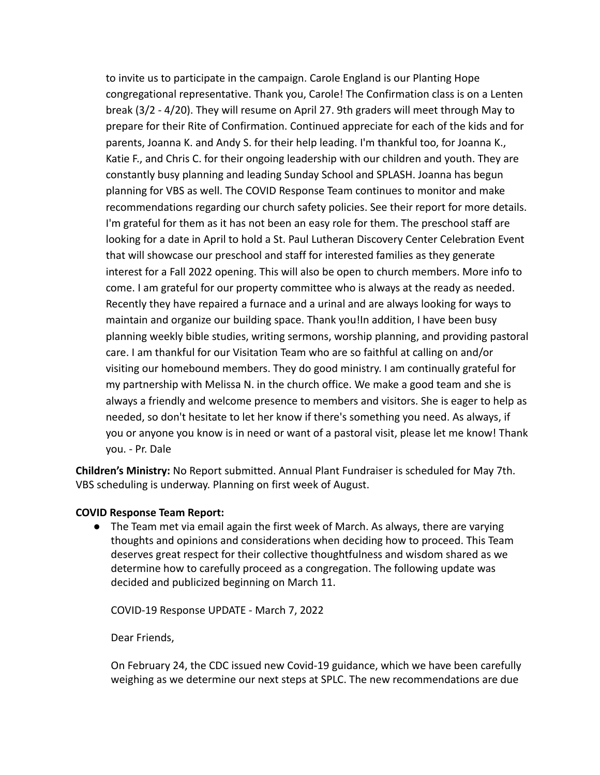to invite us to participate in the campaign. Carole England is our Planting Hope congregational representative. Thank you, Carole! The Confirmation class is on a Lenten break (3/2 - 4/20). They will resume on April 27. 9th graders will meet through May to prepare for their Rite of Confirmation. Continued appreciate for each of the kids and for parents, Joanna K. and Andy S. for their help leading. I'm thankful too, for Joanna K., Katie F., and Chris C. for their ongoing leadership with our children and youth. They are constantly busy planning and leading Sunday School and SPLASH. Joanna has begun planning for VBS as well. The COVID Response Team continues to monitor and make recommendations regarding our church safety policies. See their report for more details. I'm grateful for them as it has not been an easy role for them. The preschool staff are looking for a date in April to hold a St. Paul Lutheran Discovery Center Celebration Event that will showcase our preschool and staff for interested families as they generate interest for a Fall 2022 opening. This will also be open to church members. More info to come. I am grateful for our property committee who is always at the ready as needed. Recently they have repaired a furnace and a urinal and are always looking for ways to maintain and organize our building space. Thank you!In addition, I have been busy planning weekly bible studies, writing sermons, worship planning, and providing pastoral care. I am thankful for our Visitation Team who are so faithful at calling on and/or visiting our homebound members. They do good ministry. I am continually grateful for my partnership with Melissa N. in the church office. We make a good team and she is always a friendly and welcome presence to members and visitors. She is eager to help as needed, so don't hesitate to let her know if there's something you need. As always, if you or anyone you know is in need or want of a pastoral visit, please let me know! Thank you. - Pr. Dale

**Children's Ministry:** No Report submitted. Annual Plant Fundraiser is scheduled for May 7th. VBS scheduling is underway. Planning on first week of August.

## **COVID Response Team Report:**

● The Team met via email again the first week of March. As always, there are varying thoughts and opinions and considerations when deciding how to proceed. This Team deserves great respect for their collective thoughtfulness and wisdom shared as we determine how to carefully proceed as a congregation. The following update was decided and publicized beginning on March 11.

COVID-19 Response UPDATE - March 7, 2022

Dear Friends,

On February 24, the CDC issued new Covid-19 guidance, which we have been carefully weighing as we determine our next steps at SPLC. The new recommendations are due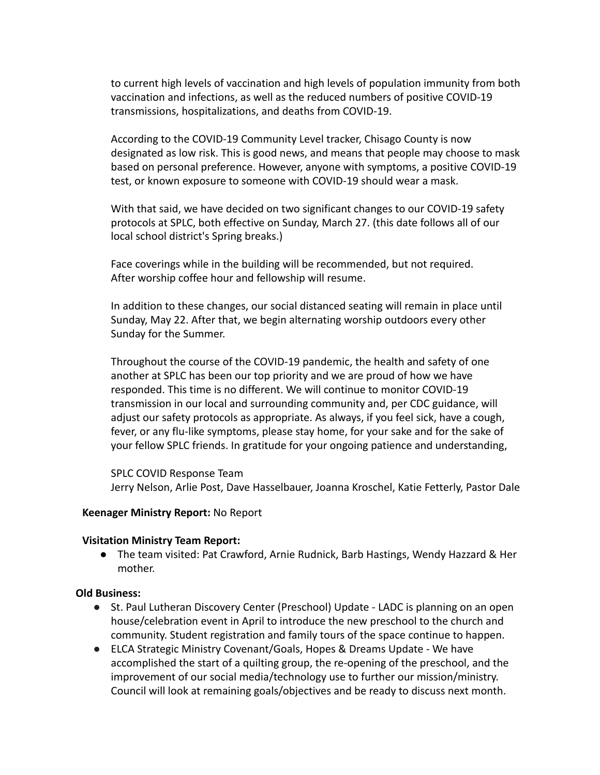to current high levels of vaccination and high levels of population immunity from both vaccination and infections, as well as the reduced numbers of positive COVID-19 transmissions, hospitalizations, and deaths from COVID-19.

According to the COVID-19 Community Level tracker, Chisago County is now designated as low risk. This is good news, and means that people may choose to mask based on personal preference. However, anyone with symptoms, a positive COVID-19 test, or known exposure to someone with COVID-19 should wear a mask.

With that said, we have decided on two significant changes to our COVID-19 safety protocols at SPLC, both effective on Sunday, March 27. (this date follows all of our local school district's Spring breaks.)

Face coverings while in the building will be recommended, but not required. After worship coffee hour and fellowship will resume.

In addition to these changes, our social distanced seating will remain in place until Sunday, May 22. After that, we begin alternating worship outdoors every other Sunday for the Summer.

Throughout the course of the COVID-19 pandemic, the health and safety of one another at SPLC has been our top priority and we are proud of how we have responded. This time is no different. We will continue to monitor COVID-19 transmission in our local and surrounding community and, per CDC guidance, will adjust our safety protocols as appropriate. As always, if you feel sick, have a cough, fever, or any flu-like symptoms, please stay home, for your sake and for the sake of your fellow SPLC friends. In gratitude for your ongoing patience and understanding,

SPLC COVID Response Team Jerry Nelson, Arlie Post, Dave Hasselbauer, Joanna Kroschel, Katie Fetterly, Pastor Dale

#### **Keenager Ministry Report:** No Report

## **Visitation Ministry Team Report:**

● The team visited: Pat Crawford, Arnie Rudnick, Barb Hastings, Wendy Hazzard & Her mother.

#### **Old Business:**

- St. Paul Lutheran Discovery Center (Preschool) Update LADC is planning on an open house/celebration event in April to introduce the new preschool to the church and community. Student registration and family tours of the space continue to happen.
- ELCA Strategic Ministry Covenant/Goals, Hopes & Dreams Update We have accomplished the start of a quilting group, the re-opening of the preschool, and the improvement of our social media/technology use to further our mission/ministry. Council will look at remaining goals/objectives and be ready to discuss next month.